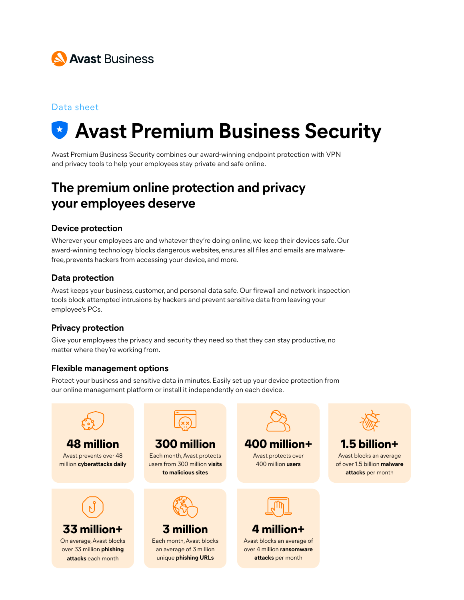

#### Data sheet

# **Avast Premium Business Security**  $\star$

Avast Premium Business Security combines our award-winning endpoint protection with VPN and privacy tools to help your employees stay private and safe online.

# **The premium online protection and privacy your employees deserve**

#### **Device protection**

Wherever your employees are and whatever they're doing online, we keep their devices safe. Our award-winning technology blocks dangerous websites, ensures all files and emails are malwarefree, prevents hackers from accessing your device, and more.

#### **Data protection**

Avast keeps your business, customer, and personal data safe. Our firewall and network inspection tools block attempted intrusions by hackers and prevent sensitive data from leaving your employee's PCs.

### **Privacy protection**

Give your employees the privacy and security they need so that they can stay productive, no matter where they're working from.

#### **Flexible management options**

Protect your business and sensitive data in minutes. Easily set up your device protection from our online management platform or install it independently on each device.

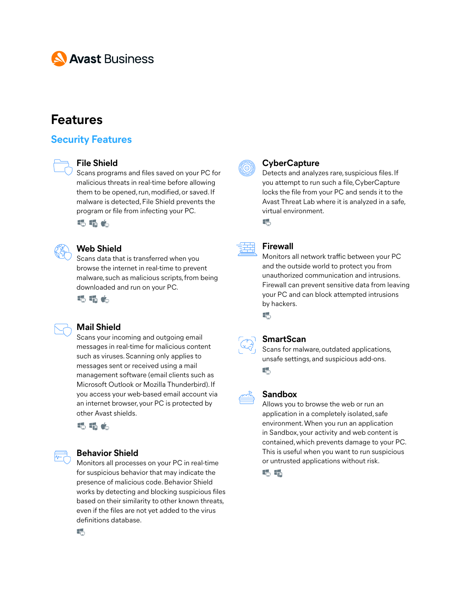

# **Features**

# **Security Features**



#### **File Shield**

Scans programs and files saved on your PC for malicious threats in real-time before allowing them to be opened, run, modified, or saved. If malware is detected, File Shield prevents the program or file from infecting your PC.

毛垢的



### **Web Shield**

Scans data that is transferred when you browse the internet in real-time to prevent malware, such as malicious scripts, from being downloaded and run on your PC.

毛脂的



#### **Mail Shield**

Scans your incoming and outgoing email messages in real-time for malicious content such as viruses. Scanning only applies to messages sent or received using a mail management software (email clients such as Microsoft Outlook or Mozilla Thunderbird). If you access your web-based email account via an internet browser, your PC is protected by other Avast shields.



#### **Behavior Shield**

Monitors all processes on your PC in real-time for suspicious behavior that may indicate the presence of malicious code. Behavior Shield works by detecting and blocking suspicious files based on their similarity to other known threats, even if the files are not yet added to the virus definitions database.



#### **CyberCapture**

Detects and analyzes rare, suspicious files. If you attempt to run such a file, CyberCapture locks the file from your PC and sends it to the Avast Threat Lab where it is analyzed in a safe, virtual environment.

45



### **Firewall**

Monitors all network traffic between your PC and the outside world to protect you from unauthorized communication and intrusions. Firewall can prevent sensitive data from leaving your PC and can block attempted intrusions by hackers.

43



#### **SmartScan**

Scans for malware, outdated applications, unsafe settings, and suspicious add-ons. 4



#### **Sandbox**

Allows you to browse the web or run an application in a completely isolated, safe environment. When you run an application in Sandbox, your activity and web content is contained, which prevents damage to your PC. This is useful when you want to run suspicious or untrusted applications without risk.

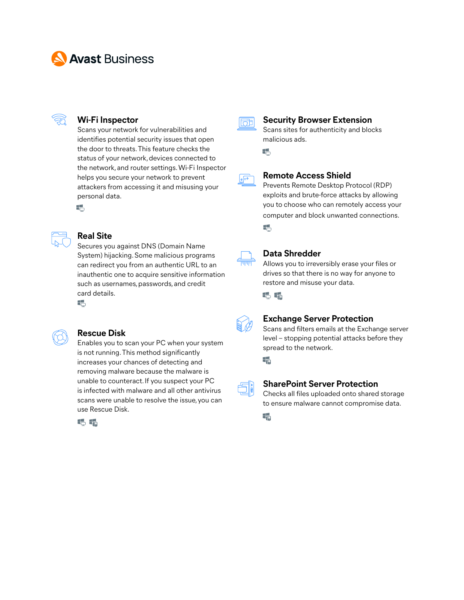



#### **Wi-Fi Inspector**

Scans your network for vulnerabilities and identifies potential security issues that open the door to threats. This feature checks the status of your network, devices connected to the network, and router settings. Wi-Fi Inspector helps you secure your network to prevent attackers from accessing it and misusing your personal data.

45



#### **Real Site**

Secures you against DNS (Domain Name System) hijacking. Some malicious programs can redirect you from an authentic URL to an inauthentic one to acquire sensitive information such as usernames, passwords, and credit card details. 15



#### **Rescue Disk**

Enables you to scan your PC when your system is not running. This method significantly increases your chances of detecting and removing malware because the malware is unable to counteract. If you suspect your PC is infected with malware and all other antivirus scans were unable to resolve the issue, you can use Rescue Disk.





#### **Security Browser Extension**

Scans sites for authenticity and blocks malicious ads.

H



#### **Remote Access Shield**

Prevents Remote Desktop Protocol (RDP) exploits and brute-force attacks by allowing you to choose who can remotely access your computer and block unwanted connections. 45

#### **Data Shredder**

Allows you to irreversibly erase your files or drives so that there is no way for anyone to restore and misuse your data.

 $\mathbf{t}$  ,  $\mathbf{t}$ 



### **Exchange Server Protection**

Scans and filters emails at the Exchange server level – stopping potential attacks before they spread to the network.

 $\blacksquare_{\square}$ 

## **SharePoint Server Protection**

Checks all files uploaded onto shared storage to ensure malware cannot compromise data.

4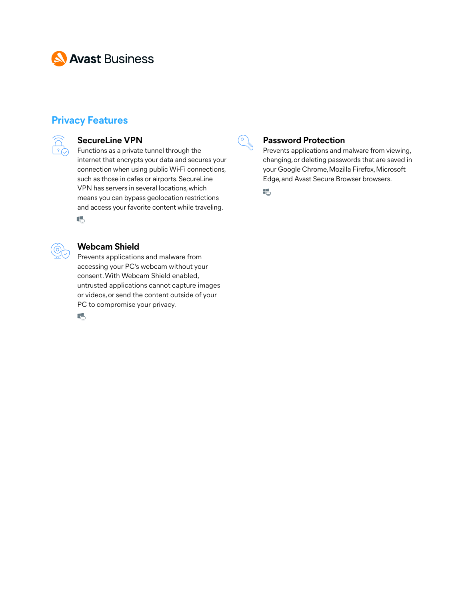

# **Privacy Features**



#### **SecureLine VPN**

Functions as a private tunnel through the internet that encrypts your data and secures your connection when using public Wi-Fi connections, such as those in cafes or airports. SecureLine VPN has servers in several locations, which means you can bypass geolocation restrictions and access your favorite content while traveling.



## **Webcam Shield**

Prevents applications and malware from accessing your PC's webcam without your consent. With Webcam Shield enabled, untrusted applications cannot capture images or videos, or send the content outside of your PC to compromise your privacy.



| . . |   |
|-----|---|
| -   | ٠ |

### **Password Protection**

Prevents applications and malware from viewing, changing, or deleting passwords that are saved in your Google Chrome, Mozilla Firefox, Microsoft Edge, and Avast Secure Browser browsers.

15